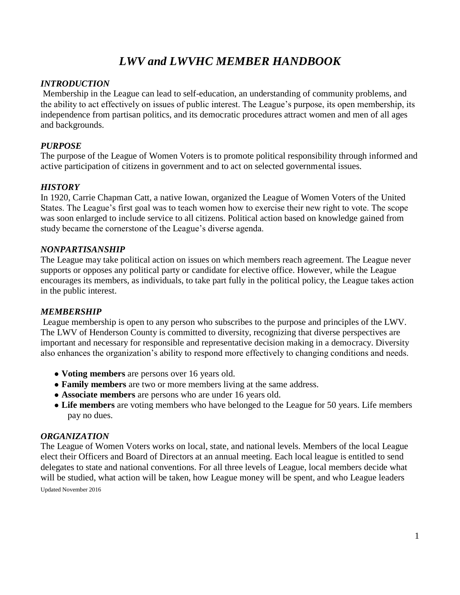# *LWV and LWVHC MEMBER HANDBOOK*

# *INTRODUCTION*

Membership in the League can lead to self-education, an understanding of community problems, and the ability to act effectively on issues of public interest. The League's purpose, its open membership, its independence from partisan politics, and its democratic procedures attract women and men of all ages and backgrounds.

# *PURPOSE*

The purpose of the League of Women Voters is to promote political responsibility through informed and active participation of citizens in government and to act on selected governmental issues.

## *HISTORY*

In 1920, Carrie Chapman Catt, a native Iowan, organized the League of Women Voters of the United States. The League's first goal was to teach women how to exercise their new right to vote. The scope was soon enlarged to include service to all citizens. Political action based on knowledge gained from study became the cornerstone of the League's diverse agenda.

#### *NONPARTISANSHIP*

The League may take political action on issues on which members reach agreement. The League never supports or opposes any political party or candidate for elective office. However, while the League encourages its members, as individuals, to take part fully in the political policy, the League takes action in the public interest.

## *MEMBERSHIP*

League membership is open to any person who subscribes to the purpose and principles of the LWV. The LWV of Henderson County is committed to diversity, recognizing that diverse perspectives are important and necessary for responsible and representative decision making in a democracy. Diversity also enhances the organization's ability to respond more effectively to changing conditions and needs.

- **● Voting members** are persons over 16 years old.
- **● Family members** are two or more members living at the same address.
- **● Associate members** are persons who are under 16 years old.
- **● Life members** are voting members who have belonged to the League for 50 years. Life members pay no dues.

# *ORGANIZATION*

Updated November 2016 The League of Women Voters works on local, state, and national levels. Members of the local League elect their Officers and Board of Directors at an annual meeting. Each local league is entitled to send delegates to state and national conventions. For all three levels of League, local members decide what will be studied, what action will be taken, how League money will be spent, and who League leaders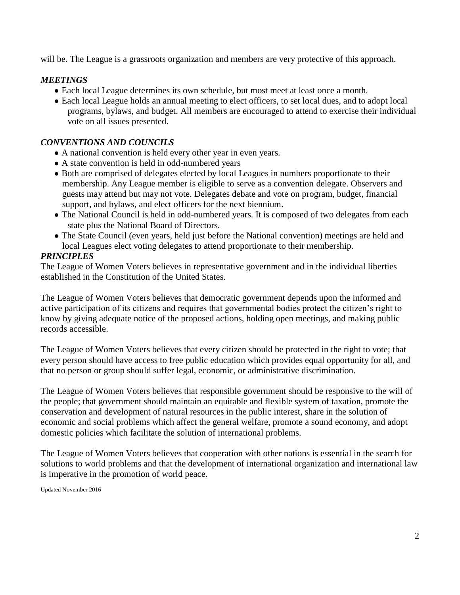will be. The League is a grassroots organization and members are very protective of this approach.

# *MEETINGS*

- **●** Each local League determines its own schedule, but most meet at least once a month.
- **●** Each local League holds an annual meeting to elect officers, to set local dues, and to adopt local programs, bylaws, and budget. All members are encouraged to attend to exercise their individual vote on all issues presented.

# *CONVENTIONS AND COUNCILS*

- **●** A national convention is held every other year in even years.
- **●** A state convention is held in odd-numbered years
- **●** Both are comprised of delegates elected by local Leagues in numbers proportionate to their membership. Any League member is eligible to serve as a convention delegate. Observers and guests may attend but may not vote. Delegates debate and vote on program, budget, financial support, and bylaws, and elect officers for the next biennium.
- The National Council is held in odd-numbered years. It is composed of two delegates from each state plus the National Board of Directors.
- **●** The State Council (even years, held just before the National convention) meetings are held and local Leagues elect voting delegates to attend proportionate to their membership.

# *PRINCIPLES*

The League of Women Voters believes in representative government and in the individual liberties established in the Constitution of the United States.

The League of Women Voters believes that democratic government depends upon the informed and active participation of its citizens and requires that governmental bodies protect the citizen's right to know by giving adequate notice of the proposed actions, holding open meetings, and making public records accessible.

The League of Women Voters believes that every citizen should be protected in the right to vote; that every person should have access to free public education which provides equal opportunity for all, and that no person or group should suffer legal, economic, or administrative discrimination.

The League of Women Voters believes that responsible government should be responsive to the will of the people; that government should maintain an equitable and flexible system of taxation, promote the conservation and development of natural resources in the public interest, share in the solution of economic and social problems which affect the general welfare, promote a sound economy, and adopt domestic policies which facilitate the solution of international problems.

The League of Women Voters believes that cooperation with other nations is essential in the search for solutions to world problems and that the development of international organization and international law is imperative in the promotion of world peace.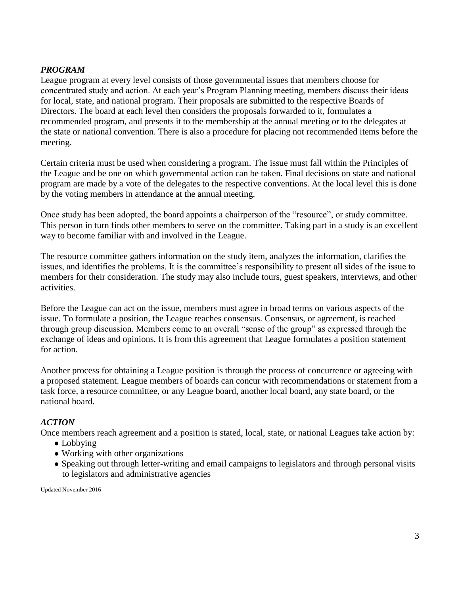# *PROGRAM*

League program at every level consists of those governmental issues that members choose for concentrated study and action. At each year's Program Planning meeting, members discuss their ideas for local, state, and national program. Their proposals are submitted to the respective Boards of Directors. The board at each level then considers the proposals forwarded to it, formulates a recommended program, and presents it to the membership at the annual meeting or to the delegates at the state or national convention. There is also a procedure for placing not recommended items before the meeting.

Certain criteria must be used when considering a program. The issue must fall within the Principles of the League and be one on which governmental action can be taken. Final decisions on state and national program are made by a vote of the delegates to the respective conventions. At the local level this is done by the voting members in attendance at the annual meeting.

Once study has been adopted, the board appoints a chairperson of the "resource", or study committee. This person in turn finds other members to serve on the committee. Taking part in a study is an excellent way to become familiar with and involved in the League.

The resource committee gathers information on the study item, analyzes the information, clarifies the issues, and identifies the problems. It is the committee's responsibility to present all sides of the issue to members for their consideration. The study may also include tours, guest speakers, interviews, and other activities.

Before the League can act on the issue, members must agree in broad terms on various aspects of the issue. To formulate a position, the League reaches consensus. Consensus, or agreement, is reached through group discussion. Members come to an overall "sense of the group" as expressed through the exchange of ideas and opinions. It is from this agreement that League formulates a position statement for action.

Another process for obtaining a League position is through the process of concurrence or agreeing with a proposed statement. League members of boards can concur with recommendations or statement from a task force, a resource committee, or any League board, another local board, any state board, or the national board.

## *ACTION*

Once members reach agreement and a position is stated, local, state, or national Leagues take action by:

- **●** Lobbying
- **●** Working with other organizations
- **●** Speaking out through letter-writing and email campaigns to legislators and through personal visits to legislators and administrative agencies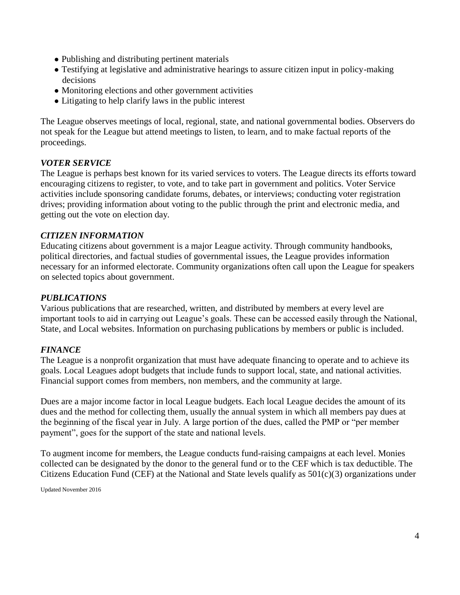- **●** Publishing and distributing pertinent materials
- **●** Testifying at legislative and administrative hearings to assure citizen input in policy-making decisions
- **●** Monitoring elections and other government activities
- **●** Litigating to help clarify laws in the public interest

The League observes meetings of local, regional, state, and national governmental bodies. Observers do not speak for the League but attend meetings to listen, to learn, and to make factual reports of the proceedings.

## *VOTER SERVICE*

The League is perhaps best known for its varied services to voters. The League directs its efforts toward encouraging citizens to register, to vote, and to take part in government and politics. Voter Service activities include sponsoring candidate forums, debates, or interviews; conducting voter registration drives; providing information about voting to the public through the print and electronic media, and getting out the vote on election day.

#### *CITIZEN INFORMATION*

Educating citizens about government is a major League activity. Through community handbooks, political directories, and factual studies of governmental issues, the League provides information necessary for an informed electorate. Community organizations often call upon the League for speakers on selected topics about government.

#### *PUBLICATIONS*

Various publications that are researched, written, and distributed by members at every level are important tools to aid in carrying out League's goals. These can be accessed easily through the National, State, and Local websites. Information on purchasing publications by members or public is included.

#### *FINANCE*

The League is a nonprofit organization that must have adequate financing to operate and to achieve its goals. Local Leagues adopt budgets that include funds to support local, state, and national activities. Financial support comes from members, non members, and the community at large.

Dues are a major income factor in local League budgets. Each local League decides the amount of its dues and the method for collecting them, usually the annual system in which all members pay dues at the beginning of the fiscal year in July. A large portion of the dues, called the PMP or "per member payment", goes for the support of the state and national levels.

To augment income for members, the League conducts fund-raising campaigns at each level. Monies collected can be designated by the donor to the general fund or to the CEF which is tax deductible. The Citizens Education Fund (CEF) at the National and State levels qualify as  $501(c)(3)$  organizations under